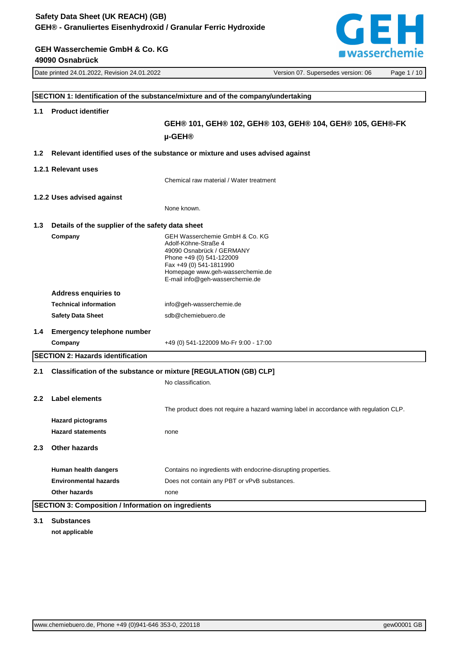**GEH Wasserchemie GmbH & Co. KG**

GEH **EWASSETCHEMIE** 

|                  | 49090 Osnabrück                                            | asserencime                                                                                                                                                                                                       |  |
|------------------|------------------------------------------------------------|-------------------------------------------------------------------------------------------------------------------------------------------------------------------------------------------------------------------|--|
|                  | Date printed 24.01.2022, Revision 24.01.2022               | Version 07. Supersedes version: 06<br>Page 1 / 10                                                                                                                                                                 |  |
|                  |                                                            |                                                                                                                                                                                                                   |  |
|                  |                                                            | SECTION 1: Identification of the substance/mixture and of the company/undertaking                                                                                                                                 |  |
| 1.1              | <b>Product identifier</b>                                  |                                                                                                                                                                                                                   |  |
|                  |                                                            | GEH® 101, GEH® 102, GEH® 103, GEH® 104, GEH® 105, GEH®-FK                                                                                                                                                         |  |
|                  |                                                            | µ-GEH <sup>®</sup>                                                                                                                                                                                                |  |
| 1.2 <sub>1</sub> |                                                            | Relevant identified uses of the substance or mixture and uses advised against                                                                                                                                     |  |
|                  |                                                            |                                                                                                                                                                                                                   |  |
|                  | 1.2.1 Relevant uses                                        |                                                                                                                                                                                                                   |  |
|                  |                                                            | Chemical raw material / Water treatment                                                                                                                                                                           |  |
|                  | 1.2.2 Uses advised against                                 |                                                                                                                                                                                                                   |  |
|                  |                                                            | None known.                                                                                                                                                                                                       |  |
| 1.3              | Details of the supplier of the safety data sheet           |                                                                                                                                                                                                                   |  |
|                  | Company                                                    | GEH Wasserchemie GmbH & Co. KG<br>Adolf-Köhne-Straße 4<br>49090 Osnabrück / GERMANY<br>Phone +49 (0) 541-122009<br>Fax +49 (0) 541-1811990<br>Homepage www.geh-wasserchemie.de<br>E-mail info@geh-wasserchemie.de |  |
|                  | <b>Address enquiries to</b>                                |                                                                                                                                                                                                                   |  |
|                  | <b>Technical information</b>                               | info@geh-wasserchemie.de                                                                                                                                                                                          |  |
|                  | <b>Safety Data Sheet</b>                                   | sdb@chemiebuero.de                                                                                                                                                                                                |  |
| 1.4              | <b>Emergency telephone number</b>                          |                                                                                                                                                                                                                   |  |
|                  | Company                                                    | +49 (0) 541-122009 Mo-Fr 9:00 - 17:00                                                                                                                                                                             |  |
|                  | <b>SECTION 2: Hazards identification</b>                   |                                                                                                                                                                                                                   |  |
| 2.1              |                                                            | Classification of the substance or mixture [REGULATION (GB) CLP]                                                                                                                                                  |  |
|                  |                                                            | No classification.                                                                                                                                                                                                |  |
|                  | 2.2 Label elements                                         | The product does not require a hazard warning label in accordance with regulation CLP.                                                                                                                            |  |
|                  | <b>Hazard pictograms</b>                                   |                                                                                                                                                                                                                   |  |
|                  | <b>Hazard statements</b>                                   | none                                                                                                                                                                                                              |  |
| 2.3              | <b>Other hazards</b>                                       |                                                                                                                                                                                                                   |  |
|                  | Human health dangers                                       | Contains no ingredients with endocrine-disrupting properties.                                                                                                                                                     |  |
|                  | <b>Environmental hazards</b>                               | Does not contain any PBT or vPvB substances.                                                                                                                                                                      |  |
|                  | <b>Other hazards</b>                                       | none                                                                                                                                                                                                              |  |
|                  | <b>SECTION 3: Composition / Information on ingredients</b> |                                                                                                                                                                                                                   |  |

**3.1 Substances not applicable**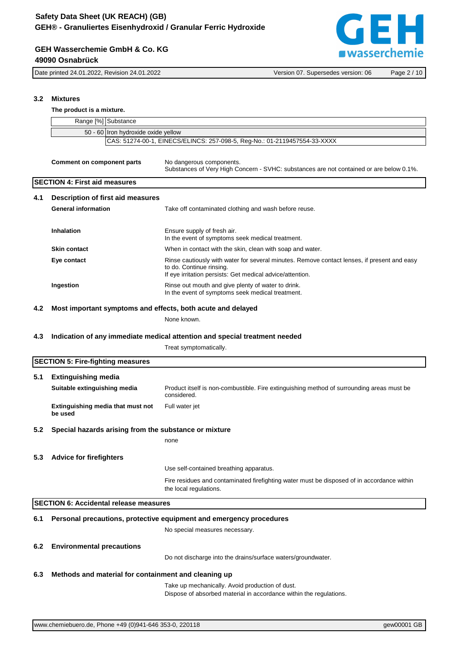# **GEH swasserchemie**

#### **GEH Wasserchemie GmbH & Co. KG 49090 Osnabrück**

Date printed 24.01.2022, Revision 24.01.2022 Version 07. Supersedes version: 06 Page 2 / 10

#### **3.2 Mixtures**

#### **The product is a mixture.**

|     | Range [%] Substance                                                       |                                                                                                                                                                                      |  |  |  |
|-----|---------------------------------------------------------------------------|--------------------------------------------------------------------------------------------------------------------------------------------------------------------------------------|--|--|--|
|     | 50 - 60 Iron hydroxide oxide yellow                                       |                                                                                                                                                                                      |  |  |  |
|     | CAS: 51274-00-1, EINECS/ELINCS: 257-098-5, Reg-No.: 01-2119457554-33-XXXX |                                                                                                                                                                                      |  |  |  |
|     | <b>Comment on component parts</b>                                         | No dangerous components.<br>Substances of Very High Concern - SVHC: substances are not contained or are below 0.1%.                                                                  |  |  |  |
|     | <b>SECTION 4: First aid measures</b>                                      |                                                                                                                                                                                      |  |  |  |
| 4.1 | <b>Description of first aid measures</b>                                  |                                                                                                                                                                                      |  |  |  |
|     | <b>General information</b>                                                | Take off contaminated clothing and wash before reuse.                                                                                                                                |  |  |  |
|     |                                                                           |                                                                                                                                                                                      |  |  |  |
|     | Inhalation                                                                | Ensure supply of fresh air.<br>In the event of symptoms seek medical treatment.                                                                                                      |  |  |  |
|     | <b>Skin contact</b>                                                       | When in contact with the skin, clean with soap and water.                                                                                                                            |  |  |  |
|     | Eye contact                                                               | Rinse cautiously with water for several minutes. Remove contact lenses, if present and easy<br>to do. Continue rinsing.<br>If eye irritation persists: Get medical advice/attention. |  |  |  |
|     | Ingestion                                                                 | Rinse out mouth and give plenty of water to drink.                                                                                                                                   |  |  |  |
|     |                                                                           | In the event of symptoms seek medical treatment.                                                                                                                                     |  |  |  |
| 4.2 | Most important symptoms and effects, both acute and delayed               |                                                                                                                                                                                      |  |  |  |
|     |                                                                           | None known.                                                                                                                                                                          |  |  |  |
|     |                                                                           |                                                                                                                                                                                      |  |  |  |
| 4.3 |                                                                           | Indication of any immediate medical attention and special treatment needed                                                                                                           |  |  |  |
|     |                                                                           | Treat symptomatically.                                                                                                                                                               |  |  |  |
|     | <b>SECTION 5: Fire-fighting measures</b>                                  |                                                                                                                                                                                      |  |  |  |
| 5.1 | <b>Extinguishing media</b>                                                |                                                                                                                                                                                      |  |  |  |
|     | Suitable extinguishing media                                              | Product itself is non-combustible. Fire extinguishing method of surrounding areas must be                                                                                            |  |  |  |
|     |                                                                           | considered.                                                                                                                                                                          |  |  |  |
|     | Extinguishing media that must not<br>be used                              | Full water jet                                                                                                                                                                       |  |  |  |
| 5.2 | Special hazards arising from the substance or mixture                     |                                                                                                                                                                                      |  |  |  |
|     |                                                                           | none                                                                                                                                                                                 |  |  |  |
|     |                                                                           |                                                                                                                                                                                      |  |  |  |
|     | 5.3 Advice for firefighters                                               |                                                                                                                                                                                      |  |  |  |
|     |                                                                           | Use self-contained breathing apparatus.                                                                                                                                              |  |  |  |
|     |                                                                           | Fire residues and contaminated firefighting water must be disposed of in accordance within<br>the local regulations.                                                                 |  |  |  |
|     | <b>SECTION 6: Accidental release measures</b>                             |                                                                                                                                                                                      |  |  |  |
|     |                                                                           |                                                                                                                                                                                      |  |  |  |
| 6.1 |                                                                           | Personal precautions, protective equipment and emergency procedures                                                                                                                  |  |  |  |
|     |                                                                           | No special measures necessary.                                                                                                                                                       |  |  |  |
| 6.2 | <b>Environmental precautions</b>                                          |                                                                                                                                                                                      |  |  |  |
|     |                                                                           | Do not discharge into the drains/surface waters/groundwater.                                                                                                                         |  |  |  |
|     |                                                                           |                                                                                                                                                                                      |  |  |  |
| 6.3 | Methods and material for containment and cleaning up                      |                                                                                                                                                                                      |  |  |  |
|     |                                                                           | Take up mechanically. Avoid production of dust.                                                                                                                                      |  |  |  |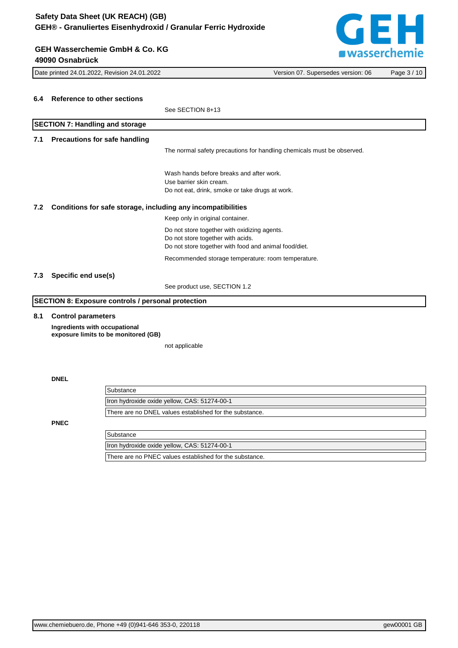### **GEH Wasserchemie GmbH & Co. KG 49090 Osnabrück**

GEH **E** wasserchemie

|     | 49090 Οδιιανιμικ                                                                   |                                                                        |             |
|-----|------------------------------------------------------------------------------------|------------------------------------------------------------------------|-------------|
|     | Date printed 24.01.2022, Revision 24.01.2022<br>Version 07. Supersedes version: 06 |                                                                        | Page 3 / 10 |
|     |                                                                                    |                                                                        |             |
| 6.4 | <b>Reference to other sections</b>                                                 |                                                                        |             |
|     |                                                                                    | See SECTION 8+13                                                       |             |
|     | <b>SECTION 7: Handling and storage</b>                                             |                                                                        |             |
| 7.1 | <b>Precautions for safe handling</b>                                               |                                                                        |             |
|     |                                                                                    |                                                                        |             |
|     |                                                                                    | The normal safety precautions for handling chemicals must be observed. |             |
|     |                                                                                    | Wash hands before breaks and after work.                               |             |
|     |                                                                                    | Use barrier skin cream.                                                |             |
|     |                                                                                    | Do not eat, drink, smoke or take drugs at work.                        |             |
| 7.2 | Conditions for safe storage, including any incompatibilities                       |                                                                        |             |
|     |                                                                                    | Keep only in original container.                                       |             |
|     |                                                                                    | Do not store together with oxidizing agents.                           |             |
|     |                                                                                    | Do not store together with acids.                                      |             |
|     |                                                                                    | Do not store together with food and animal food/diet.                  |             |
|     |                                                                                    | Recommended storage temperature: room temperature.                     |             |
| 7.3 | Specific end use(s)                                                                |                                                                        |             |
|     |                                                                                    | See product use, SECTION 1.2                                           |             |
|     | <b>SECTION 8: Exposure controls / personal protection</b>                          |                                                                        |             |
| 8.1 | <b>Control parameters</b>                                                          |                                                                        |             |
|     | Ingredients with occupational                                                      |                                                                        |             |
|     | exposure limits to be monitored (GB)                                               |                                                                        |             |
|     |                                                                                    | not applicable                                                         |             |
|     |                                                                                    |                                                                        |             |
|     |                                                                                    |                                                                        |             |
|     | <b>DNEL</b>                                                                        |                                                                        |             |
|     | Substance                                                                          |                                                                        |             |
|     |                                                                                    | Iron hydroxide oxide yellow, CAS: 51274-00-1                           |             |
|     |                                                                                    | There are no DNEL values established for the substance.                |             |
|     | <b>PNEC</b>                                                                        |                                                                        |             |
|     | Substance                                                                          |                                                                        |             |

| Substance                                               |
|---------------------------------------------------------|
| Iron hydroxide oxide yellow, CAS: 51274-00-1            |
| There are no PNEC values established for the substance. |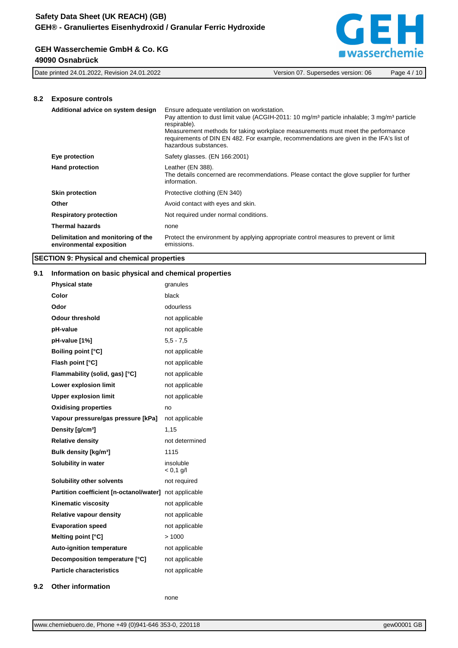#### **GEH Wasserchemie GmbH & Co. KG 49090 Osnabrück**



Date printed 24.01.2022, Revision 24.01.2022 Version 07. Supersedes version: 06 Page 4 / 10

#### **8.2 Exposure controls**

| Additional advice on system design                             | Ensure adequate ventilation on workstation.<br>Pay attention to dust limit value (ACGIH-2011: 10 mg/m <sup>3</sup> particle inhalable: 3 mg/m <sup>3</sup> particle<br>respirable).<br>Measurement methods for taking workplace measurements must meet the performance<br>requirements of DIN EN 482. For example, recommendations are given in the IFA's list of<br>hazardous substances. |
|----------------------------------------------------------------|--------------------------------------------------------------------------------------------------------------------------------------------------------------------------------------------------------------------------------------------------------------------------------------------------------------------------------------------------------------------------------------------|
| Eye protection                                                 | Safety glasses. (EN 166:2001)                                                                                                                                                                                                                                                                                                                                                              |
| <b>Hand protection</b>                                         | Leather (EN 388).<br>The details concerned are recommendations. Please contact the glove supplier for further<br>information.                                                                                                                                                                                                                                                              |
| <b>Skin protection</b>                                         | Protective clothing (EN 340)                                                                                                                                                                                                                                                                                                                                                               |
| Other                                                          | Avoid contact with eyes and skin.                                                                                                                                                                                                                                                                                                                                                          |
| <b>Respiratory protection</b>                                  | Not required under normal conditions.                                                                                                                                                                                                                                                                                                                                                      |
| <b>Thermal hazards</b>                                         | none                                                                                                                                                                                                                                                                                                                                                                                       |
| Delimitation and monitoring of the<br>environmental exposition | Protect the environment by applying appropriate control measures to prevent or limit<br>emissions.                                                                                                                                                                                                                                                                                         |

#### **SECTION 9: Physical and chemical properties**

#### **9.1 Information on basic physical and chemical properties**

| <b>Physical state</b>                   | granules                 |
|-----------------------------------------|--------------------------|
| Color                                   | black                    |
| Odor                                    | odourless                |
| Odour threshold                         | not applicable           |
| pH-value                                | not applicable           |
| pH-value [1%]                           | $5.5 - 7.5$              |
| <b>Boiling point [°C]</b>               | not applicable           |
| Flash point [°C]                        | not applicable           |
| Flammability (solid, gas) [°C]          | not applicable           |
| Lower explosion limit                   | not applicable           |
| <b>Upper explosion limit</b>            | not applicable           |
| <b>Oxidising properties</b>             | no                       |
| Vapour pressure/gas pressure [kPa]      | not applicable           |
| Density [g/cm <sup>3</sup> ]            | 1.15                     |
| <b>Relative density</b>                 | not determined           |
| Bulk density [kg/m <sup>3</sup> ]       | 1115                     |
| Solubility in water                     | insoluble<br>$< 0.1$ g/l |
| <b>Solubility other solvents</b>        | not required             |
| Partition coefficient [n-octanol/water] | not applicable           |
| <b>Kinematic viscosity</b>              | not applicable           |
| <b>Relative vapour density</b>          | not applicable           |
| <b>Evaporation speed</b>                | not applicable           |
| Melting point [°C]                      | >1000                    |
| <b>Auto-ignition temperature</b>        | not applicable           |
| Decomposition temperature [°C]          | not applicable           |
| <b>Particle characteristics</b>         | not applicable           |
|                                         |                          |

**9.2 Other information**

none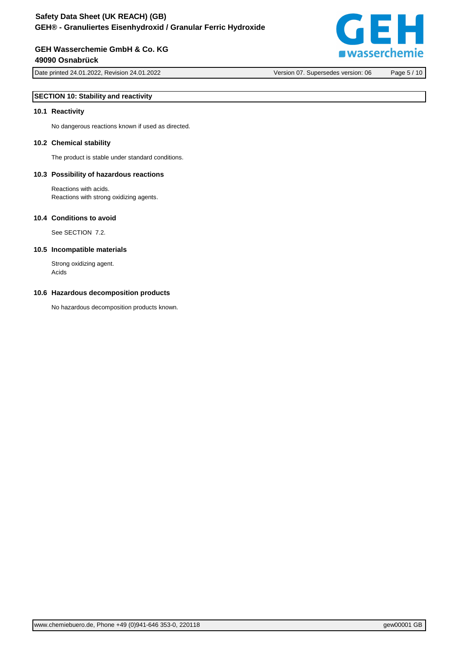### **GEH Wasserchemie GmbH & Co. KG 49090 Osnabrück**

Date printed 24.01.2022, Revision 24.01.2022 Version 07. Supersedes version: 06 Page 5 / 10

#### **SECTION 10: Stability and reactivity**

#### **10.1 Reactivity**

No dangerous reactions known if used as directed.

#### **10.2 Chemical stability**

The product is stable under standard conditions.

#### **10.3 Possibility of hazardous reactions**

Reactions with acids. Reactions with strong oxidizing agents.

#### **10.4 Conditions to avoid**

See SECTION 7.2.

#### **10.5 Incompatible materials**

Strong oxidizing agent. Acids

#### **10.6 Hazardous decomposition products**

No hazardous decomposition products known.

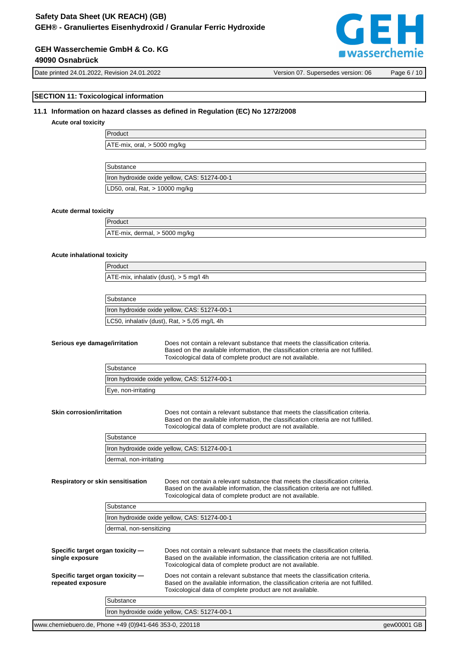# **GEH Wasserchemie GmbH & Co. KG**

#### **49090 Osnabrück**

Date printed 24.01.2022, Revision 24.01.2022 Version 07. Supersedes version: 06 Page 6 / 10

### **SECTION 11: Toxicological information**

#### **11.1 Information on hazard classes as defined in Regulation (EC) No 1272/2008**

#### **Acute oral toxicity**

Product ATE-mix, oral, > 5000 mg/kg

| Substance                                    |
|----------------------------------------------|
| Iron hydroxide oxide yellow, CAS: 51274-00-1 |
| LD50, oral, Rat, > 10000 mg/kg               |

#### **Acute dermal toxicity**

Product ATE-mix, dermal, > 5000 mg/kg

#### **Acute inhalational toxicity**

Product

ATE-mix, inhalativ (dust), > 5 mg/l 4h

| Substance                                     |  |
|-----------------------------------------------|--|
| Iron hydroxide oxide yellow, CAS: 51274-00-1  |  |
| LC50, inhalativ (dust), Rat, $>$ 5,05 mg/L 4h |  |

**Serious eye damage/irritation** Does not contain a relevant substance that meets the classification criteria. Based on the available information, the classification criteria are not fulfilled. Toxicological data of complete product are not available.

| Substance                                    |
|----------------------------------------------|
| Iron hydroxide oxide yellow, CAS: 51274-00-1 |
| Eye, non-irritating                          |

**Skin corrosion/irritation** Does not contain a relevant substance that meets the classification criteria. Based on the available information, the classification criteria are not fulfilled. Toxicological data of complete product are not available.

| Substance                                    |
|----------------------------------------------|
| Iron hydroxide oxide yellow, CAS: 51274-00-1 |
| dermal, non-irritating                       |

**Respiratory or skin sensitisation** Does not contain a relevant substance that meets the classification criteria. Based on the available information, the classification criteria are not fulfilled. Toxicological data of complete product are not available.

| Substance                                    |
|----------------------------------------------|
| Iron hydroxide oxide yellow, CAS: 51274-00-1 |
| dermal, non-sensitizing                      |

| Specific target organ toxicity -<br>single exposure<br>Specific target organ toxicity -<br>repeated exposure |           | Does not contain a relevant substance that meets the classification criteria.<br>Based on the available information, the classification criteria are not fulfilled.<br>Toxicological data of complete product are not available.<br>Does not contain a relevant substance that meets the classification criteria.<br>Based on the available information, the classification criteria are not fulfilled.<br>Toxicological data of complete product are not available. |  |
|--------------------------------------------------------------------------------------------------------------|-----------|----------------------------------------------------------------------------------------------------------------------------------------------------------------------------------------------------------------------------------------------------------------------------------------------------------------------------------------------------------------------------------------------------------------------------------------------------------------------|--|
|                                                                                                              |           |                                                                                                                                                                                                                                                                                                                                                                                                                                                                      |  |
|                                                                                                              | Substance |                                                                                                                                                                                                                                                                                                                                                                                                                                                                      |  |
|                                                                                                              |           | Iron hydroxide oxide yellow, CAS: 51274-00-1                                                                                                                                                                                                                                                                                                                                                                                                                         |  |
|                                                                                                              |           |                                                                                                                                                                                                                                                                                                                                                                                                                                                                      |  |

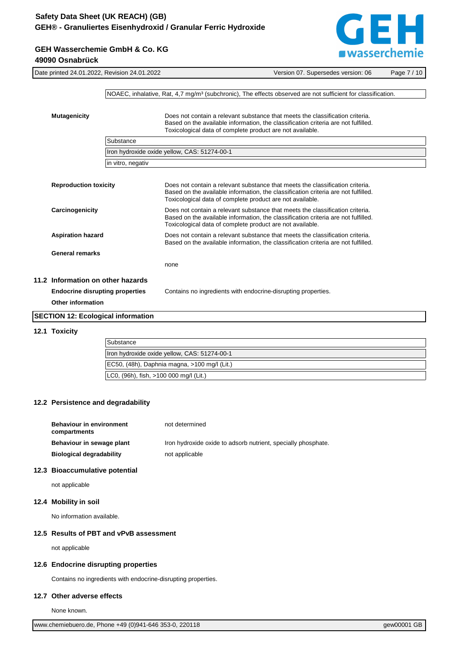

| <b>GEH Wasserchemie GmbH &amp; Co. KG</b> |  |
|-------------------------------------------|--|
| 49090 Osnabrück                           |  |

|                          |                              | Date printed 24.01.2022, Revision 24.01.2022 | Version 07. Supersedes version: 06                                                                                                                                                                                               | Page 7/10 |
|--------------------------|------------------------------|----------------------------------------------|----------------------------------------------------------------------------------------------------------------------------------------------------------------------------------------------------------------------------------|-----------|
|                          |                              |                                              |                                                                                                                                                                                                                                  |           |
|                          |                              |                                              | NOAEC, inhalative, Rat, 4,7 mg/m <sup>3</sup> (subchronic), The effects observed are not sufficient for classification.                                                                                                          |           |
|                          |                              |                                              |                                                                                                                                                                                                                                  |           |
| <b>Mutagenicity</b>      |                              |                                              | Does not contain a relevant substance that meets the classification criteria.<br>Based on the available information, the classification criteria are not fulfilled.<br>Toxicological data of complete product are not available. |           |
|                          |                              | Substance                                    |                                                                                                                                                                                                                                  |           |
|                          |                              |                                              | Iron hydroxide oxide yellow, CAS: 51274-00-1                                                                                                                                                                                     |           |
|                          |                              | in vitro, negativ                            |                                                                                                                                                                                                                                  |           |
|                          |                              |                                              |                                                                                                                                                                                                                                  |           |
|                          | <b>Reproduction toxicity</b> |                                              | Does not contain a relevant substance that meets the classification criteria.<br>Based on the available information, the classification criteria are not fulfilled.<br>Toxicological data of complete product are not available. |           |
| Carcinogenicity          |                              |                                              | Does not contain a relevant substance that meets the classification criteria.<br>Based on the available information, the classification criteria are not fulfilled.<br>Toxicological data of complete product are not available. |           |
|                          | <b>Aspiration hazard</b>     |                                              | Does not contain a relevant substance that meets the classification criteria.<br>Based on the available information, the classification criteria are not fulfilled.                                                              |           |
|                          | <b>General remarks</b>       |                                              |                                                                                                                                                                                                                                  |           |
|                          |                              |                                              | none                                                                                                                                                                                                                             |           |
|                          |                              | 11.2 Information on other hazards            |                                                                                                                                                                                                                                  |           |
|                          |                              | <b>Endocrine disrupting properties</b>       | Contains no ingredients with endocrine-disrupting properties.                                                                                                                                                                    |           |
| <b>Other information</b> |                              |                                              |                                                                                                                                                                                                                                  |           |
|                          |                              | <b>SECTION 12: Ecological information</b>    |                                                                                                                                                                                                                                  |           |

#### **12.1 Toxicity**

| Substance                                       |
|-------------------------------------------------|
| Iron hydroxide oxide yellow, CAS: 51274-00-1    |
| $ EC50, (48h), Daphnia magna, >100 mg/l (Lit.)$ |
| LC0, (96h), fish, >100 000 mg/l (Lit.)          |

#### **12.2 Persistence and degradability**

| <b>Behaviour in environment</b><br>compartments | not determined                                                |
|-------------------------------------------------|---------------------------------------------------------------|
| Behaviour in sewage plant                       | Iron hydroxide oxide to adsorb nutrient, specially phosphate. |
| <b>Biological degradability</b>                 | not applicable                                                |

#### **12.3 Bioaccumulative potential**

not applicable

#### **12.4 Mobility in soil**

No information available.

#### **12.5 Results of PBT and vPvB assessment**

not applicable

#### **12.6 Endocrine disrupting properties**

Contains no ingredients with endocrine-disrupting properties.

#### **12.7 Other adverse effects**

None known.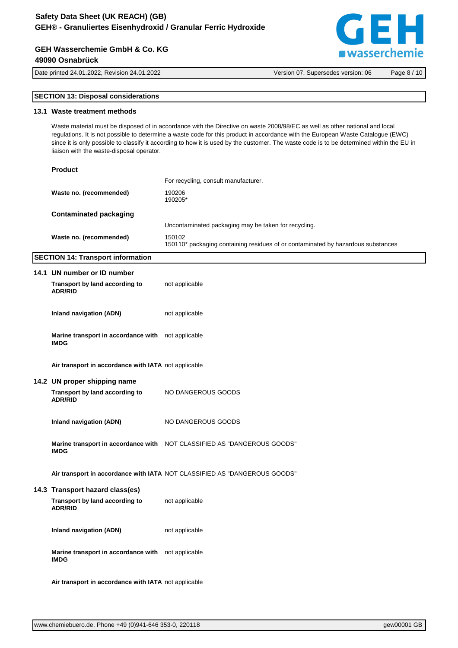#### **GEH Wasserchemie GmbH & Co. KG 49090 Osnabrück**

[www.chemiebuero.de](http://www.chemiebuero.de), Phone +49 (0)941-646 353-0, 220118 and 2010 and 2010 and 2010 and 2010 and 2010 and 2010 and 2010 and 2010 and 2010 and 2010 and 2010 and 2010 and 2010 and 2010 and 2010 and 2010 and 2010 and 2010 and 2

| <b>SECTION 13: Disposal considerations</b>                                                                                                                                                                                                                                                                                                                                                                                                                |                                                                                            |  |
|-----------------------------------------------------------------------------------------------------------------------------------------------------------------------------------------------------------------------------------------------------------------------------------------------------------------------------------------------------------------------------------------------------------------------------------------------------------|--------------------------------------------------------------------------------------------|--|
| 13.1 Waste treatment methods                                                                                                                                                                                                                                                                                                                                                                                                                              |                                                                                            |  |
| Waste material must be disposed of in accordance with the Directive on waste 2008/98/EC as well as other national and local<br>regulations. It is not possible to determine a waste code for this product in accordance with the European Waste Catalogue (EWC)<br>since it is only possible to classify it according to how it is used by the customer. The waste code is to be determined within the EU in<br>liaison with the waste-disposal operator. |                                                                                            |  |
| <b>Product</b>                                                                                                                                                                                                                                                                                                                                                                                                                                            |                                                                                            |  |
|                                                                                                                                                                                                                                                                                                                                                                                                                                                           | For recycling, consult manufacturer.                                                       |  |
| Waste no. (recommended)                                                                                                                                                                                                                                                                                                                                                                                                                                   | 190206<br>190205*                                                                          |  |
| <b>Contaminated packaging</b>                                                                                                                                                                                                                                                                                                                                                                                                                             |                                                                                            |  |
|                                                                                                                                                                                                                                                                                                                                                                                                                                                           | Uncontaminated packaging may be taken for recycling.                                       |  |
| Waste no. (recommended)                                                                                                                                                                                                                                                                                                                                                                                                                                   | 150102<br>150110* packaging containing residues of or contaminated by hazardous substances |  |
| <b>SECTION 14: Transport information</b>                                                                                                                                                                                                                                                                                                                                                                                                                  |                                                                                            |  |
| 14.1 UN number or ID number                                                                                                                                                                                                                                                                                                                                                                                                                               |                                                                                            |  |
|                                                                                                                                                                                                                                                                                                                                                                                                                                                           |                                                                                            |  |
| Transport by land according to<br><b>ADR/RID</b>                                                                                                                                                                                                                                                                                                                                                                                                          | not applicable                                                                             |  |
|                                                                                                                                                                                                                                                                                                                                                                                                                                                           |                                                                                            |  |
| <b>Inland navigation (ADN)</b>                                                                                                                                                                                                                                                                                                                                                                                                                            | not applicable                                                                             |  |
| Marine transport in accordance with not applicable<br><b>IMDG</b>                                                                                                                                                                                                                                                                                                                                                                                         |                                                                                            |  |
| Air transport in accordance with IATA not applicable                                                                                                                                                                                                                                                                                                                                                                                                      |                                                                                            |  |
| 14.2 UN proper shipping name                                                                                                                                                                                                                                                                                                                                                                                                                              |                                                                                            |  |
| Transport by land according to<br><b>ADR/RID</b>                                                                                                                                                                                                                                                                                                                                                                                                          | NO DANGEROUS GOODS                                                                         |  |
| <b>Inland navigation (ADN)</b>                                                                                                                                                                                                                                                                                                                                                                                                                            | NO DANGEROUS GOODS                                                                         |  |
| <b>IMDG</b>                                                                                                                                                                                                                                                                                                                                                                                                                                               | Marine transport in accordance with NOT CLASSIFIED AS "DANGEROUS GOODS"                    |  |
|                                                                                                                                                                                                                                                                                                                                                                                                                                                           | Air transport in accordance with IATA NOT CLASSIFIED AS "DANGEROUS GOODS"                  |  |
| 14.3 Transport hazard class(es)                                                                                                                                                                                                                                                                                                                                                                                                                           |                                                                                            |  |
| Transport by land according to<br><b>ADR/RID</b>                                                                                                                                                                                                                                                                                                                                                                                                          | not applicable                                                                             |  |
| <b>Inland navigation (ADN)</b>                                                                                                                                                                                                                                                                                                                                                                                                                            | not applicable                                                                             |  |
| Marine transport in accordance with not applicable<br><b>IMDG</b>                                                                                                                                                                                                                                                                                                                                                                                         |                                                                                            |  |

**Air transport in accordance with IATA** not applicable





Date printed 24.01.2022, Revision 24.01.2022 Version 07. Supersedes version: 06 Page 8 / 10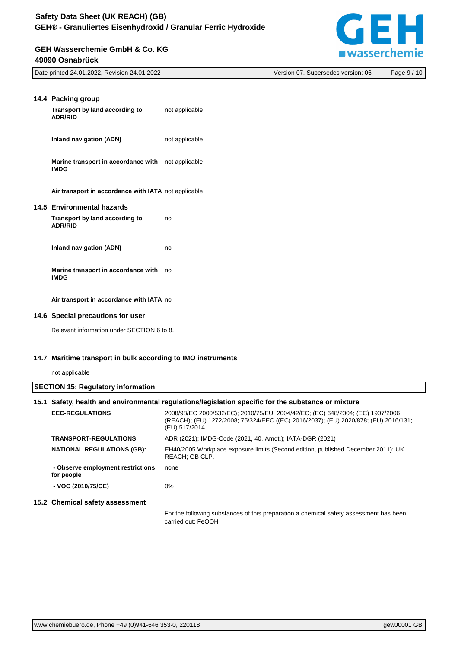#### **GEH Wasserchemie GmbH & Co. KG 49090 Osnabrück**



| Date printed 24.01.2022, Revision 24.01.2022 | Version 07. Supersedes version: 06 | 10<br>ر Page 9 |
|----------------------------------------------|------------------------------------|----------------|
|                                              |                                    |                |

| 14.4 Packing group<br>Transport by land according to<br><b>ADR/RID</b>   | not applicable |
|--------------------------------------------------------------------------|----------------|
| Inland navigation (ADN)                                                  | not applicable |
| <b>Marine transport in accordance with</b> not applicable<br><b>IMDG</b> |                |
| Air transport in accordance with IATA not applicable                     |                |
| 14.5 Environmental hazards                                               |                |
| Transport by land according to<br><b>ADR/RID</b>                         | no             |
| Inland navigation (ADN)                                                  | no             |
| Marine transport in accordance with<br><b>IMDG</b>                       | no             |
| Air transport in accordance with IATA no                                 |                |

#### **14.6 Special precautions for user**

Relevant information under SECTION 6 to 8.

#### **14.7 Maritime transport in bulk according to IMO instruments**

not applicable

| <b>SECTION 15: Regulatory information</b> |                                                                                                     |                                                                                                                                                                                        |  |
|-------------------------------------------|-----------------------------------------------------------------------------------------------------|----------------------------------------------------------------------------------------------------------------------------------------------------------------------------------------|--|
|                                           | 15.1 Safety, health and environmental regulations/legislation specific for the substance or mixture |                                                                                                                                                                                        |  |
|                                           | <b>EEC-REGULATIONS</b>                                                                              | 2008/98/EC 2000/532/EC); 2010/75/EU; 2004/42/EC; (EC) 648/2004; (EC) 1907/2006<br>(REACH); (EU) 1272/2008; 75/324/EEC ((EC) 2016/2037); (EU) 2020/878; (EU) 2016/131;<br>(EU) 517/2014 |  |
|                                           | <b>TRANSPORT-REGULATIONS</b>                                                                        | ADR (2021); IMDG-Code (2021, 40. Amdt.); IATA-DGR (2021)                                                                                                                               |  |
|                                           | <b>NATIONAL REGULATIONS (GB):</b>                                                                   | EH40/2005 Workplace exposure limits (Second edition, published December 2011); UK<br>REACH: GB CLP.                                                                                    |  |
|                                           | - Observe employment restrictions<br>for people                                                     | none                                                                                                                                                                                   |  |
|                                           | - VOC (2010/75/CE)                                                                                  | 0%                                                                                                                                                                                     |  |
|                                           | 15.2 Chemical safety assessment                                                                     |                                                                                                                                                                                        |  |
|                                           |                                                                                                     | For the following substances of this preparation a chemical safety assessment has been<br>carried out: FeOOH                                                                           |  |